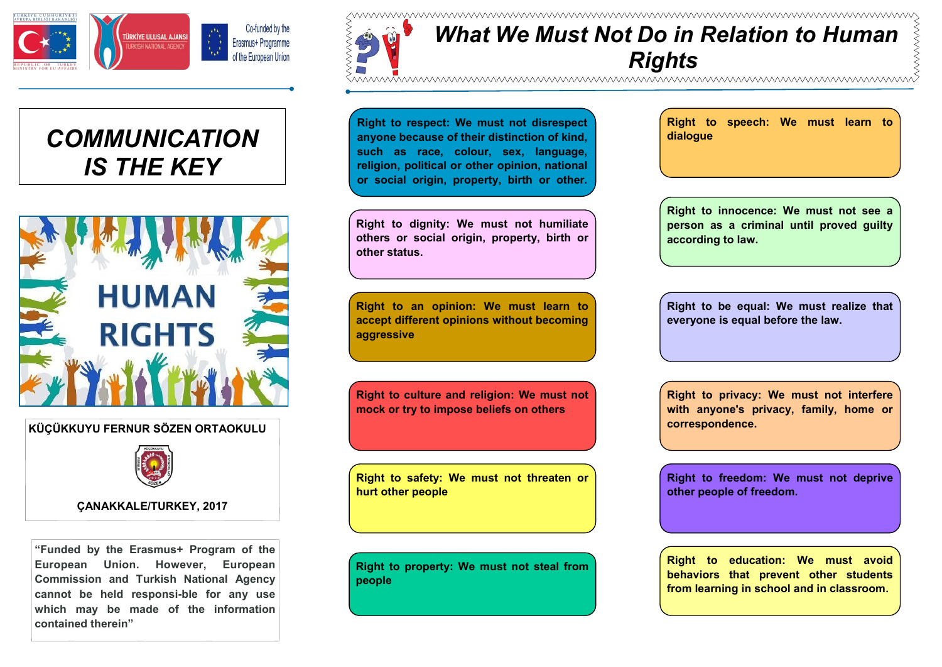

## *COMMUNICATION IS THE KEY*



**KÜÇÜKKUYU FERNUR SÖZEN ORTAOKULU**



**ÇANAKKALE/TURKEY, 2017**

**"Funded by the Erasmus+ Program of the European Union. However, European Commission and Turkish National Agency**  cannot be held responsi-ble for any use **which may be made of the information contained therein"**

*What We Must Not Do in Relation to Human Rights* 

**Right to respect: We must not disrespect anyone because of their distinction of kind, such as race, colour, sex, language, religion, political or other opinion, national or social origin, property, birth or other.** 

**Right to dignity: We must not humiliate others or social origin, property, birth or other status.**

**Right to an opinion: We must learn to accept different opinions without becoming aggressive**

**Right to culture and religion: We must not mock or try to impose beliefs on others**

**Right to safety: We must not threaten or hurt other people**

**Right to property: We must not steal from people**

**Right to speech: We must learn to dialogue**

**Right to innocence: We must not see a person as a criminal until proved guilty according to law.**

**Right to be equal: We must realize that everyone is equal before the law.**

**Right to privacy: We must not interfere with anyone's privacy, family, home or correspondence.**

**Right to freedom: We must not deprive other people of freedom.**

**Right to education: We must avoid behaviors that prevent other students from learning in school and in classroom.**